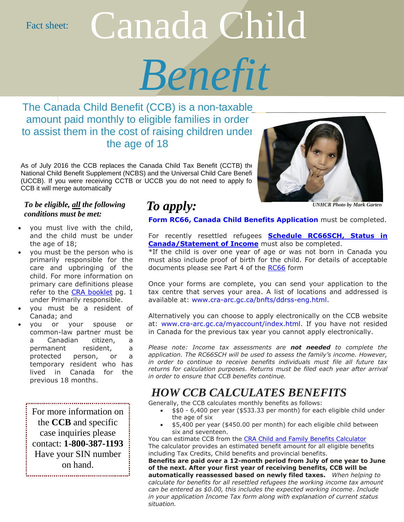Fact sheet:

# Canada Child

*Benefit*

The Canada Child Benefit (CCB) is a non-taxable amount paid monthly to eligible families in order to assist them in the cost of raising children under the age of 18

As of July 2016 the CCB replaces the Canada Child Tax Benefit (CCTB) the National Child Benefit Supplement (NCBS) and the Universal Child Care Benefi (UCCB). If you were receiving CCTB or UCCB you do not need to apply fo CCB it will merge automatically

### *To be eligible,*  $\underline{\mathit{all}}$  *the following*  $\qquad\textit{To apply:}$ *conditions must be met:*

- you must live with the child, and the child must be under the age of 18;
- you must be the person who is primarily responsible for the care and upbringing of the child. For more information on primary care definitions please refer to the [CRA booklet](http://www.cra-arc.gc.ca/E/pub/tg/t4114/t4114-16e.pdf) pg. 1 under Primarily responsible.
- you must be a resident of Canada; and
- you or your spouse or common-law partner must be a Canadian citizen, a permanent resident, a protected person, or a temporary resident who has lived in Canada for the previous 18 months.

For more information on the **CCB** and specific case inquiries please contact: **1-800-387-1193** Have your SIN number on hand.



*UNHCR Photo by Mark Garten*

**[Form RC66, Canada Child Benefits Application](file://///corp.ccsontario.org/Users/East/nberlin/Downloads/rc66-fill-16e.pdf)** must be completed.

For recently resettled refugees **[Schedule RC66SCH, Status in](file://///corp.ccsontario.org/Users/East/nberlin/Downloads/rc66sch-fill-16e.pdf)  [Canada/Statement of Income](file://///corp.ccsontario.org/Users/East/nberlin/Downloads/rc66sch-fill-16e.pdf)** must also be completed.

\*If the child is over one year of age or was not born in Canada you must also include proof of birth for the child. For details of acceptable documents please see Part 4 of the [RC66](file://///corp.ccsontario.org/Users/East/nberlin/Downloads/rc66-fill-16e.pdf) form

Once your forms are complete, you can send your application to the tax centre that serves your area. A list of locations and addressed is available at: [www.cra-arc.gc.ca/bnfts/ddrss-eng.html.](http://www.cra-arc.gc.ca/bnfts/ddrss-eng.html)

Alternatively you can choose to apply electronically on the CCB website at: [www.cra-arc.gc.ca/myaccount/index.html.](http://www.cra-arc.gc.ca/myaccount/index.html) If you have not resided in Canada for the previous tax year you cannot apply electronically.

*Please note: Income tax assessments are not needed to complete the application. The RC66SCH will be used to assess the family's income. However, in order to continue to receive benefits individuals must file all future tax returns for calculation purposes. Returns must be filed each year after arrival in order to ensure that CCB benefits continue.* 

## *HOW CCB CALCULATES BENEFITS*

Generally, the CCB calculates monthly benefits as follows:

- \$\$0 6,400 per year (\$533.33 per month) for each eligible child under the age of six
- \$5,400 per year (\$450.00 per month) for each eligible child between six and seventeen.

You can estimate CCB from the [CRA Child and Family Benefits Calculator](http://www.cra-arc.gc.ca/benefits-calculator/) The calculator provides an estimated benefit amount for all eligible benefits including Tax Credits, Child benefits and provincial benefits.

**Benefits are paid over a 12-month period from July of one year to June of the next. After your first year of receiving benefits, CCB will be automatically reassessed based on newly filed taxes.** *When helping to calculate for benefits for all resettled refugees the working income tax amount can be entered as \$0.00, this includes the expected working income*. *Include in your application Income Tax form along with explanation of current status situation.*